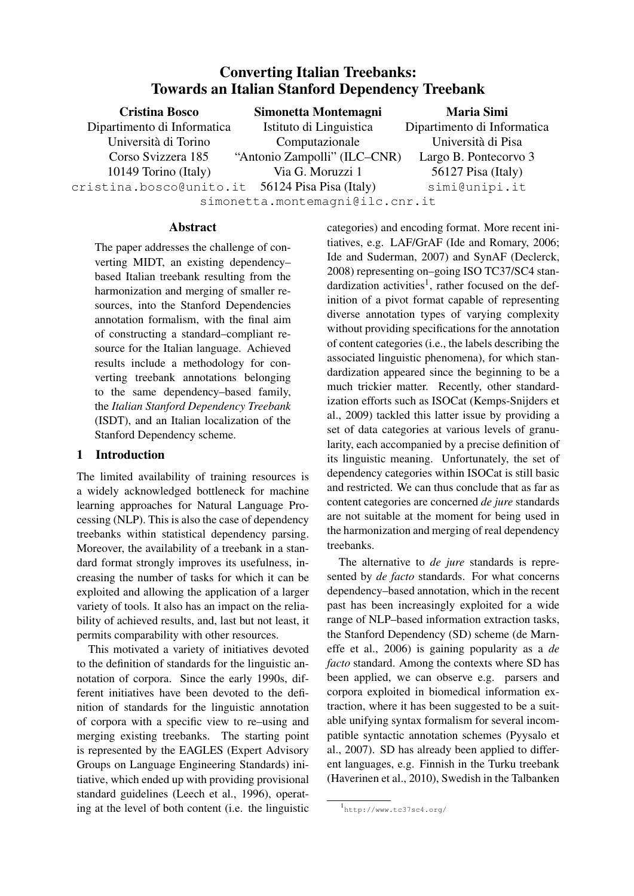# Converting Italian Treebanks: Towards an Italian Stanford Dependency Treebank

| <b>Cristina Bosco</b>                           | Simonetta Montemagni         | <b>Maria Simi</b>           |  |  |  |
|-------------------------------------------------|------------------------------|-----------------------------|--|--|--|
| Dipartimento di Informatica                     | Istituto di Linguistica      | Dipartimento di Informatica |  |  |  |
| Università di Torino                            | Computazionale               | Università di Pisa          |  |  |  |
| Corso Svizzera 185                              | "Antonio Zampolli" (ILC–CNR) | Largo B. Pontecorvo 3       |  |  |  |
| 10149 Torino (Italy)                            | Via G. Moruzzi 1             | 56127 Pisa (Italy)          |  |  |  |
| cristina.bosco@unito.it 56124 Pisa Pisa (Italy) |                              | simi@unipi.it               |  |  |  |
| simonetta.montemagni@ilc.cnr.it                 |                              |                             |  |  |  |

# Abstract

The paper addresses the challenge of converting MIDT, an existing dependency– based Italian treebank resulting from the harmonization and merging of smaller resources, into the Stanford Dependencies annotation formalism, with the final aim of constructing a standard–compliant resource for the Italian language. Achieved results include a methodology for converting treebank annotations belonging to the same dependency–based family, the *Italian Stanford Dependency Treebank* (ISDT), and an Italian localization of the Stanford Dependency scheme.

# 1 Introduction

The limited availability of training resources is a widely acknowledged bottleneck for machine learning approaches for Natural Language Processing (NLP). This is also the case of dependency treebanks within statistical dependency parsing. Moreover, the availability of a treebank in a standard format strongly improves its usefulness, increasing the number of tasks for which it can be exploited and allowing the application of a larger variety of tools. It also has an impact on the reliability of achieved results, and, last but not least, it permits comparability with other resources.

This motivated a variety of initiatives devoted to the definition of standards for the linguistic annotation of corpora. Since the early 1990s, different initiatives have been devoted to the definition of standards for the linguistic annotation of corpora with a specific view to re–using and merging existing treebanks. The starting point is represented by the EAGLES (Expert Advisory Groups on Language Engineering Standards) initiative, which ended up with providing provisional standard guidelines (Leech et al., 1996), operating at the level of both content (i.e. the linguistic categories) and encoding format. More recent initiatives, e.g. LAF/GrAF (Ide and Romary, 2006; Ide and Suderman, 2007) and SynAF (Declerck, 2008) representing on–going ISO TC37/SC4 standardization activities<sup>1</sup>, rather focused on the definition of a pivot format capable of representing diverse annotation types of varying complexity without providing specifications for the annotation of content categories (i.e., the labels describing the associated linguistic phenomena), for which standardization appeared since the beginning to be a much trickier matter. Recently, other standardization efforts such as ISOCat (Kemps-Snijders et al., 2009) tackled this latter issue by providing a set of data categories at various levels of granularity, each accompanied by a precise definition of its linguistic meaning. Unfortunately, the set of dependency categories within ISOCat is still basic and restricted. We can thus conclude that as far as content categories are concerned *de jure* standards are not suitable at the moment for being used in the harmonization and merging of real dependency treebanks.

The alternative to *de jure* standards is represented by *de facto* standards. For what concerns dependency–based annotation, which in the recent past has been increasingly exploited for a wide range of NLP–based information extraction tasks, the Stanford Dependency (SD) scheme (de Marneffe et al., 2006) is gaining popularity as a *de facto* standard. Among the contexts where SD has been applied, we can observe e.g. parsers and corpora exploited in biomedical information extraction, where it has been suggested to be a suitable unifying syntax formalism for several incompatible syntactic annotation schemes (Pyysalo et al., 2007). SD has already been applied to different languages, e.g. Finnish in the Turku treebank (Haverinen et al., 2010), Swedish in the Talbanken

<sup>1</sup> http://www.tc37sc4.org/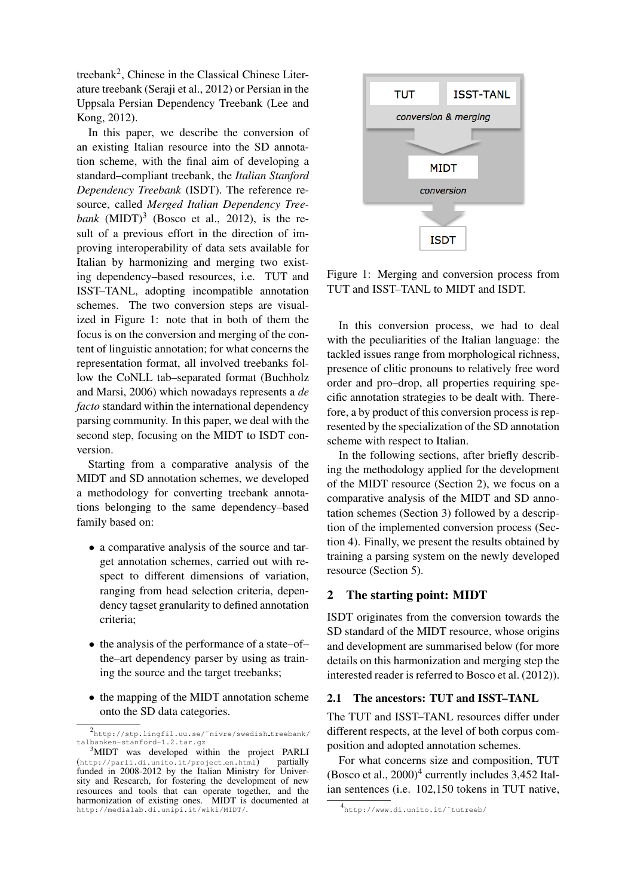treebank<sup>2</sup>, Chinese in the Classical Chinese Literature treebank (Seraji et al., 2012) or Persian in the Uppsala Persian Dependency Treebank (Lee and Kong, 2012).

In this paper, we describe the conversion of an existing Italian resource into the SD annotation scheme, with the final aim of developing a standard–compliant treebank, the *Italian Stanford Dependency Treebank* (ISDT). The reference resource, called *Merged Italian Dependency Tree* $bank \ (MIDT)^3$  (Bosco et al., 2012), is the result of a previous effort in the direction of improving interoperability of data sets available for Italian by harmonizing and merging two existing dependency–based resources, i.e. TUT and ISST–TANL, adopting incompatible annotation schemes. The two conversion steps are visualized in Figure 1: note that in both of them the focus is on the conversion and merging of the content of linguistic annotation; for what concerns the representation format, all involved treebanks follow the CoNLL tab–separated format (Buchholz and Marsi, 2006) which nowadays represents a *de facto* standard within the international dependency parsing community. In this paper, we deal with the second step, focusing on the MIDT to ISDT conversion.

Starting from a comparative analysis of the MIDT and SD annotation schemes, we developed a methodology for converting treebank annotations belonging to the same dependency–based family based on:

- a comparative analysis of the source and target annotation schemes, carried out with respect to different dimensions of variation, ranging from head selection criteria, dependency tagset granularity to defined annotation criteria;
- the analysis of the performance of a state–of– the–art dependency parser by using as training the source and the target treebanks;
- the mapping of the MIDT annotation scheme onto the SD data categories.



Figure 1: Merging and conversion process from TUT and ISST–TANL to MIDT and ISDT.

In this conversion process, we had to deal with the peculiarities of the Italian language: the tackled issues range from morphological richness, presence of clitic pronouns to relatively free word order and pro–drop, all properties requiring specific annotation strategies to be dealt with. Therefore, a by product of this conversion process is represented by the specialization of the SD annotation scheme with respect to Italian.

In the following sections, after briefly describing the methodology applied for the development of the MIDT resource (Section 2), we focus on a comparative analysis of the MIDT and SD annotation schemes (Section 3) followed by a description of the implemented conversion process (Section 4). Finally, we present the results obtained by training a parsing system on the newly developed resource (Section 5).

# 2 The starting point: MIDT

ISDT originates from the conversion towards the SD standard of the MIDT resource, whose origins and development are summarised below (for more details on this harmonization and merging step the interested reader is referred to Bosco et al. (2012)).

#### 2.1 The ancestors: TUT and ISST–TANL

The TUT and ISST–TANL resources differ under different respects, at the level of both corpus composition and adopted annotation schemes.

For what concerns size and composition, TUT (Bosco et al.,  $2000)^4$  currently includes 3,452 Italian sentences (i.e. 102,150 tokens in TUT native,

<sup>2</sup> http://stp.lingfil.uu.se/˜nivre/swedish treebank/ talbanken-stanford-1.2.tar.gz

 ${}^{3}\text{MIDT}$  was developed within the project PARLI tp://parli.di.unito.it/project.en.html) partially (http://parli.di.unito.it/project en.html) partially funded in 2008-2012 by the Italian Ministry for University and Research, for fostering the development of new resources and tools that can operate together, and the harmonization of existing ones. MIDT is documented at http://medialab.di.unipi.it/wiki/MIDT/.

<sup>4</sup> http://www.di.unito.it/˜tutreeb/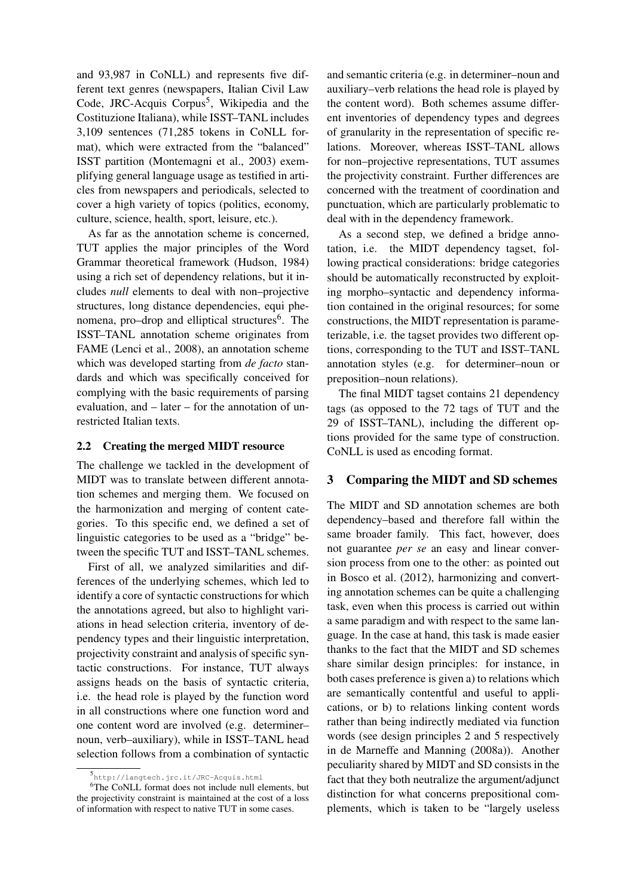and 93,987 in CoNLL) and represents five different text genres (newspapers, Italian Civil Law Code, JRC-Acquis Corpus<sup>5</sup>, Wikipedia and the Costituzione Italiana), while ISST–TANL includes 3,109 sentences (71,285 tokens in CoNLL format), which were extracted from the "balanced" ISST partition (Montemagni et al., 2003) exemplifying general language usage as testified in articles from newspapers and periodicals, selected to cover a high variety of topics (politics, economy, culture, science, health, sport, leisure, etc.).

As far as the annotation scheme is concerned, TUT applies the major principles of the Word Grammar theoretical framework (Hudson, 1984) using a rich set of dependency relations, but it includes *null* elements to deal with non–projective structures, long distance dependencies, equi phenomena, pro-drop and elliptical structures<sup>6</sup>. The ISST–TANL annotation scheme originates from FAME (Lenci et al., 2008), an annotation scheme which was developed starting from *de facto* standards and which was specifically conceived for complying with the basic requirements of parsing evaluation, and – later – for the annotation of unrestricted Italian texts.

#### 2.2 Creating the merged MIDT resource

The challenge we tackled in the development of MIDT was to translate between different annotation schemes and merging them. We focused on the harmonization and merging of content categories. To this specific end, we defined a set of linguistic categories to be used as a "bridge" between the specific TUT and ISST–TANL schemes.

First of all, we analyzed similarities and differences of the underlying schemes, which led to identify a core of syntactic constructions for which the annotations agreed, but also to highlight variations in head selection criteria, inventory of dependency types and their linguistic interpretation, projectivity constraint and analysis of specific syntactic constructions. For instance, TUT always assigns heads on the basis of syntactic criteria, i.e. the head role is played by the function word in all constructions where one function word and one content word are involved (e.g. determiner– noun, verb–auxiliary), while in ISST–TANL head selection follows from a combination of syntactic

and semantic criteria (e.g. in determiner–noun and auxiliary–verb relations the head role is played by the content word). Both schemes assume different inventories of dependency types and degrees of granularity in the representation of specific relations. Moreover, whereas ISST–TANL allows for non–projective representations, TUT assumes the projectivity constraint. Further differences are concerned with the treatment of coordination and punctuation, which are particularly problematic to deal with in the dependency framework.

As a second step, we defined a bridge annotation, i.e. the MIDT dependency tagset, following practical considerations: bridge categories should be automatically reconstructed by exploiting morpho–syntactic and dependency information contained in the original resources; for some constructions, the MIDT representation is parameterizable, i.e. the tagset provides two different options, corresponding to the TUT and ISST–TANL annotation styles (e.g. for determiner–noun or preposition–noun relations).

The final MIDT tagset contains 21 dependency tags (as opposed to the 72 tags of TUT and the 29 of ISST–TANL), including the different options provided for the same type of construction. CoNLL is used as encoding format.

#### 3 Comparing the MIDT and SD schemes

The MIDT and SD annotation schemes are both dependency–based and therefore fall within the same broader family. This fact, however, does not guarantee *per se* an easy and linear conversion process from one to the other: as pointed out in Bosco et al. (2012), harmonizing and converting annotation schemes can be quite a challenging task, even when this process is carried out within a same paradigm and with respect to the same language. In the case at hand, this task is made easier thanks to the fact that the MIDT and SD schemes share similar design principles: for instance, in both cases preference is given a) to relations which are semantically contentful and useful to applications, or b) to relations linking content words rather than being indirectly mediated via function words (see design principles 2 and 5 respectively in de Marneffe and Manning (2008a)). Another peculiarity shared by MIDT and SD consists in the fact that they both neutralize the argument/adjunct distinction for what concerns prepositional complements, which is taken to be "largely useless

<sup>5</sup> http://langtech.jrc.it/JRC-Acquis.html

<sup>6</sup>The CoNLL format does not include null elements, but the projectivity constraint is maintained at the cost of a loss of information with respect to native TUT in some cases.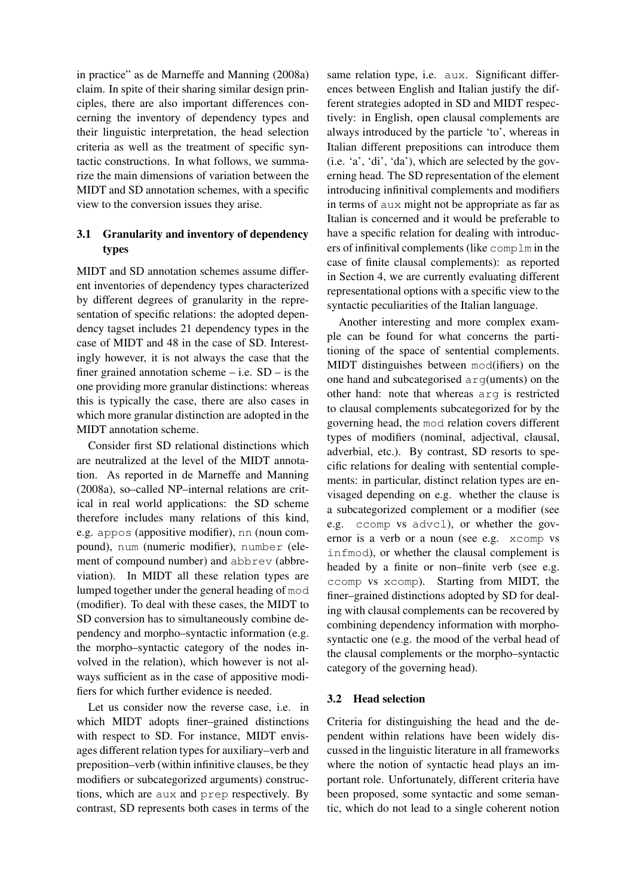in practice" as de Marneffe and Manning (2008a) claim. In spite of their sharing similar design principles, there are also important differences concerning the inventory of dependency types and their linguistic interpretation, the head selection criteria as well as the treatment of specific syntactic constructions. In what follows, we summarize the main dimensions of variation between the MIDT and SD annotation schemes, with a specific view to the conversion issues they arise.

# 3.1 Granularity and inventory of dependency types

MIDT and SD annotation schemes assume different inventories of dependency types characterized by different degrees of granularity in the representation of specific relations: the adopted dependency tagset includes 21 dependency types in the case of MIDT and 48 in the case of SD. Interestingly however, it is not always the case that the finer grained annotation scheme  $-$  i.e. SD  $-$  is the one providing more granular distinctions: whereas this is typically the case, there are also cases in which more granular distinction are adopted in the MIDT annotation scheme.

Consider first SD relational distinctions which are neutralized at the level of the MIDT annotation. As reported in de Marneffe and Manning (2008a), so–called NP–internal relations are critical in real world applications: the SD scheme therefore includes many relations of this kind, e.g. appos (appositive modifier), nn (noun compound), num (numeric modifier), number (element of compound number) and abbrev (abbreviation). In MIDT all these relation types are lumped together under the general heading of mod (modifier). To deal with these cases, the MIDT to SD conversion has to simultaneously combine dependency and morpho–syntactic information (e.g. the morpho–syntactic category of the nodes involved in the relation), which however is not always sufficient as in the case of appositive modifiers for which further evidence is needed.

Let us consider now the reverse case, i.e. in which MIDT adopts finer–grained distinctions with respect to SD. For instance, MIDT envisages different relation types for auxiliary–verb and preposition–verb (within infinitive clauses, be they modifiers or subcategorized arguments) constructions, which are aux and prep respectively. By contrast, SD represents both cases in terms of the same relation type, i.e. aux. Significant differences between English and Italian justify the different strategies adopted in SD and MIDT respectively: in English, open clausal complements are always introduced by the particle 'to', whereas in Italian different prepositions can introduce them (i.e. 'a', 'di', 'da'), which are selected by the governing head. The SD representation of the element introducing infinitival complements and modifiers in terms of aux might not be appropriate as far as Italian is concerned and it would be preferable to have a specific relation for dealing with introducers of infinitival complements (like complm in the case of finite clausal complements): as reported in Section 4, we are currently evaluating different representational options with a specific view to the syntactic peculiarities of the Italian language.

Another interesting and more complex example can be found for what concerns the partitioning of the space of sentential complements. MIDT distinguishes between mod(ifiers) on the one hand and subcategorised arg(uments) on the other hand: note that whereas arg is restricted to clausal complements subcategorized for by the governing head, the mod relation covers different types of modifiers (nominal, adjectival, clausal, adverbial, etc.). By contrast, SD resorts to specific relations for dealing with sentential complements: in particular, distinct relation types are envisaged depending on e.g. whether the clause is a subcategorized complement or a modifier (see e.g. ccomp vs advcl), or whether the governor is a verb or a noun (see e.g. xcomp vs infmod), or whether the clausal complement is headed by a finite or non–finite verb (see e.g. ccomp vs xcomp). Starting from MIDT, the finer–grained distinctions adopted by SD for dealing with clausal complements can be recovered by combining dependency information with morphosyntactic one (e.g. the mood of the verbal head of the clausal complements or the morpho–syntactic category of the governing head).

## 3.2 Head selection

Criteria for distinguishing the head and the dependent within relations have been widely discussed in the linguistic literature in all frameworks where the notion of syntactic head plays an important role. Unfortunately, different criteria have been proposed, some syntactic and some semantic, which do not lead to a single coherent notion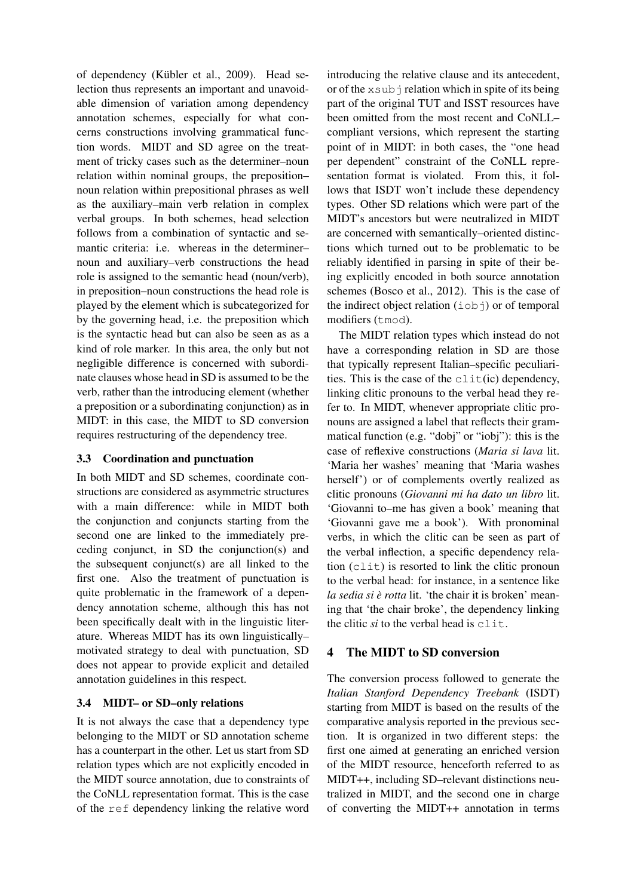of dependency (Kübler et al., 2009). Head selection thus represents an important and unavoidable dimension of variation among dependency annotation schemes, especially for what concerns constructions involving grammatical function words. MIDT and SD agree on the treatment of tricky cases such as the determiner–noun relation within nominal groups, the preposition– noun relation within prepositional phrases as well as the auxiliary–main verb relation in complex verbal groups. In both schemes, head selection follows from a combination of syntactic and semantic criteria: i.e. whereas in the determiner– noun and auxiliary–verb constructions the head role is assigned to the semantic head (noun/verb), in preposition–noun constructions the head role is played by the element which is subcategorized for by the governing head, i.e. the preposition which is the syntactic head but can also be seen as as a kind of role marker. In this area, the only but not negligible difference is concerned with subordinate clauses whose head in SD is assumed to be the verb, rather than the introducing element (whether a preposition or a subordinating conjunction) as in MIDT: in this case, the MIDT to SD conversion requires restructuring of the dependency tree.

# 3.3 Coordination and punctuation

In both MIDT and SD schemes, coordinate constructions are considered as asymmetric structures with a main difference: while in MIDT both the conjunction and conjuncts starting from the second one are linked to the immediately preceding conjunct, in SD the conjunction(s) and the subsequent conjunct(s) are all linked to the first one. Also the treatment of punctuation is quite problematic in the framework of a dependency annotation scheme, although this has not been specifically dealt with in the linguistic literature. Whereas MIDT has its own linguistically– motivated strategy to deal with punctuation, SD does not appear to provide explicit and detailed annotation guidelines in this respect.

# 3.4 MIDT– or SD–only relations

It is not always the case that a dependency type belonging to the MIDT or SD annotation scheme has a counterpart in the other. Let us start from SD relation types which are not explicitly encoded in the MIDT source annotation, due to constraints of the CoNLL representation format. This is the case of the ref dependency linking the relative word

introducing the relative clause and its antecedent, or of the  $xsub$  i relation which in spite of its being part of the original TUT and ISST resources have been omitted from the most recent and CoNLL– compliant versions, which represent the starting point of in MIDT: in both cases, the "one head per dependent" constraint of the CoNLL representation format is violated. From this, it follows that ISDT won't include these dependency types. Other SD relations which were part of the MIDT's ancestors but were neutralized in MIDT are concerned with semantically–oriented distinctions which turned out to be problematic to be reliably identified in parsing in spite of their being explicitly encoded in both source annotation schemes (Bosco et al., 2012). This is the case of the indirect object relation (iobj) or of temporal modifiers (tmod).

The MIDT relation types which instead do not have a corresponding relation in SD are those that typically represent Italian–specific peculiarities. This is the case of the  $clit(ic)$  dependency, linking clitic pronouns to the verbal head they refer to. In MIDT, whenever appropriate clitic pronouns are assigned a label that reflects their grammatical function (e.g. "dobj" or "iobj"): this is the case of reflexive constructions (*Maria si lava* lit. 'Maria her washes' meaning that 'Maria washes herself') or of complements overtly realized as clitic pronouns (*Giovanni mi ha dato un libro* lit. 'Giovanni to–me has given a book' meaning that 'Giovanni gave me a book'). With pronominal verbs, in which the clitic can be seen as part of the verbal inflection, a specific dependency relation (clit) is resorted to link the clitic pronoun to the verbal head: for instance, in a sentence like *la sedia si e rotta `* lit. 'the chair it is broken' meaning that 'the chair broke', the dependency linking the clitic *si* to the verbal head is clit.

# 4 The MIDT to SD conversion

The conversion process followed to generate the *Italian Stanford Dependency Treebank* (ISDT) starting from MIDT is based on the results of the comparative analysis reported in the previous section. It is organized in two different steps: the first one aimed at generating an enriched version of the MIDT resource, henceforth referred to as MIDT++, including SD–relevant distinctions neutralized in MIDT, and the second one in charge of converting the MIDT++ annotation in terms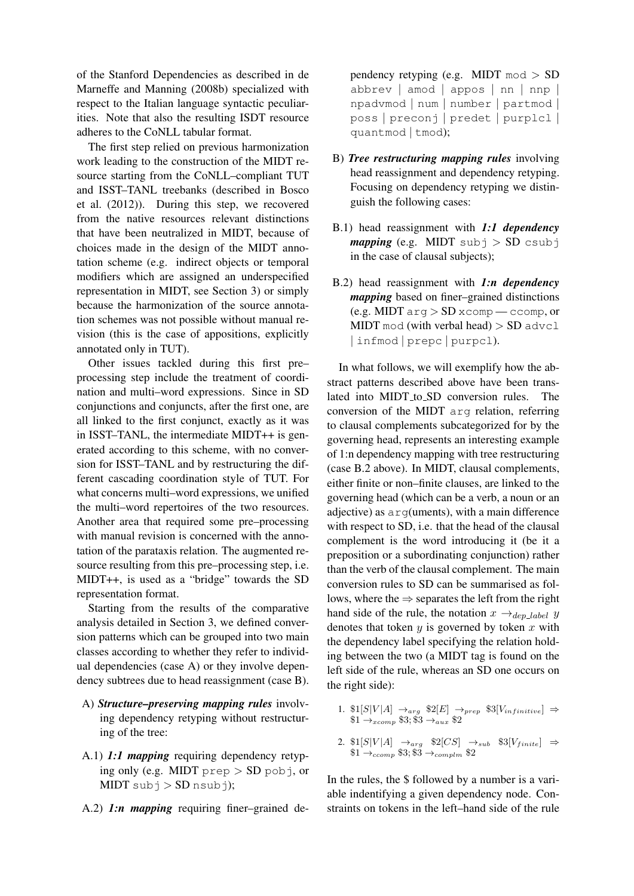of the Stanford Dependencies as described in de Marneffe and Manning (2008b) specialized with respect to the Italian language syntactic peculiarities. Note that also the resulting ISDT resource adheres to the CoNLL tabular format.

The first step relied on previous harmonization work leading to the construction of the MIDT resource starting from the CoNLL–compliant TUT and ISST–TANL treebanks (described in Bosco et al. (2012)). During this step, we recovered from the native resources relevant distinctions that have been neutralized in MIDT, because of choices made in the design of the MIDT annotation scheme (e.g. indirect objects or temporal modifiers which are assigned an underspecified representation in MIDT, see Section 3) or simply because the harmonization of the source annotation schemes was not possible without manual revision (this is the case of appositions, explicitly annotated only in TUT).

Other issues tackled during this first pre– processing step include the treatment of coordination and multi–word expressions. Since in SD conjunctions and conjuncts, after the first one, are all linked to the first conjunct, exactly as it was in ISST–TANL, the intermediate MIDT++ is generated according to this scheme, with no conversion for ISST–TANL and by restructuring the different cascading coordination style of TUT. For what concerns multi–word expressions, we unified the multi–word repertoires of the two resources. Another area that required some pre–processing with manual revision is concerned with the annotation of the parataxis relation. The augmented resource resulting from this pre–processing step, i.e. MIDT++, is used as a "bridge" towards the SD representation format.

Starting from the results of the comparative analysis detailed in Section 3, we defined conversion patterns which can be grouped into two main classes according to whether they refer to individual dependencies (case A) or they involve dependency subtrees due to head reassignment (case B).

- A) *Structure–preserving mapping rules* involving dependency retyping without restructuring of the tree:
- A.1) *1:1 mapping* requiring dependency retyping only (e.g. MIDT prep  $>$  SD pobj, or  $MIDT subj > SD nsubj);$
- A.2) *1:n mapping* requiring finer–grained de-

pendency retyping (e.g. MIDT mod > SD abbrev | amod | appos | nn | nnp | npadvmod | num | number | partmod | poss | preconj | predet | purplcl | quantmod | tmod);

- B) *Tree restructuring mapping rules* involving head reassignment and dependency retyping. Focusing on dependency retyping we distinguish the following cases:
- B.1) head reassignment with *1:1 dependency mapping* (e.g. MIDT  $subj > SD$  csubj in the case of clausal subjects);
- B.2) head reassignment with *1:n dependency mapping* based on finer–grained distinctions (e.g. MIDT  $\arg$  > SD  $\pi$ comp — ccomp, or MIDT mod (with verbal head)  $>$  SD advc1 | infmod | prepc | purpcl).

In what follows, we will exemplify how the abstract patterns described above have been translated into MIDT<sub>-to-SD</sub> conversion rules. The conversion of the MIDT arg relation, referring to clausal complements subcategorized for by the governing head, represents an interesting example of 1:n dependency mapping with tree restructuring (case B.2 above). In MIDT, clausal complements, either finite or non–finite clauses, are linked to the governing head (which can be a verb, a noun or an adjective) as  $arg(\text{uments})$ , with a main difference with respect to SD, i.e. that the head of the clausal complement is the word introducing it (be it a preposition or a subordinating conjunction) rather than the verb of the clausal complement. The main conversion rules to SD can be summarised as follows, where the  $\Rightarrow$  separates the left from the right hand side of the rule, the notation  $x \rightarrow_{den label} y$ denotes that token  $y$  is governed by token  $x$  with the dependency label specifying the relation holding between the two (a MIDT tag is found on the left side of the rule, whereas an SD one occurs on the right side):

- 1.  $\mathbb{S}[S|V|A] \rightarrow_{arg} \mathbb{S}[E] \rightarrow_{prep} \mathbb{S}[V_{infinite}] \Rightarrow$  $$1 \rightarrow_{xcomp} $3$; $3 \rightarrow_{aux} $2$$
- 2.  $\mathfrak{B}[S|V|A] \rightarrow_{arg} \mathfrak{B}[CS] \rightarrow_{sub} \mathfrak{B}[V_{finite}] \Rightarrow$  $$1 \rightarrow_{ccomp} $3; $3 \rightarrow_{complm} $2$

In the rules, the \$ followed by a number is a variable indentifying a given dependency node. Constraints on tokens in the left–hand side of the rule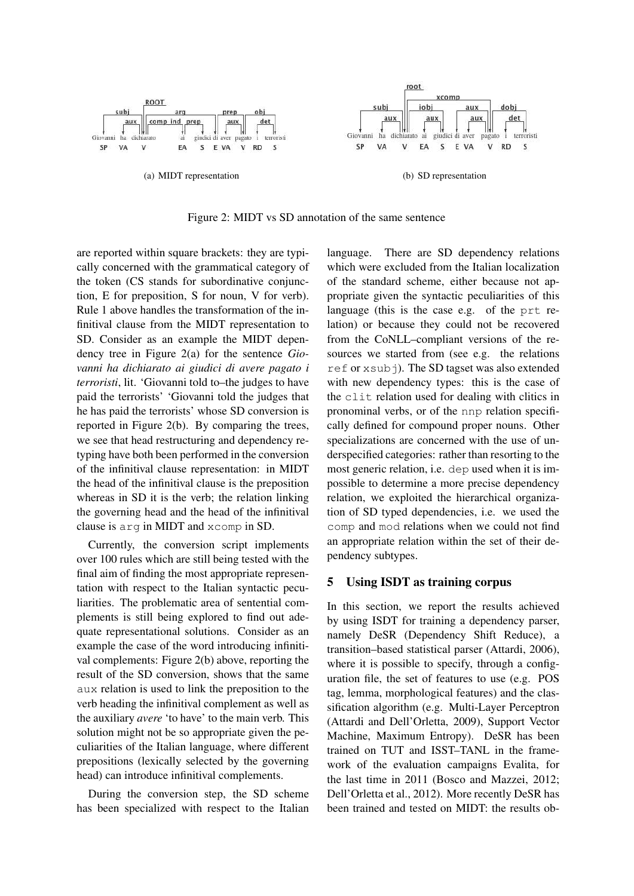

Figure 2: MIDT vs SD annotation of the same sentence

are reported within square brackets: they are typically concerned with the grammatical category of the token (CS stands for subordinative conjunction, E for preposition, S for noun, V for verb). Rule 1 above handles the transformation of the infinitival clause from the MIDT representation to SD. Consider as an example the MIDT dependency tree in Figure 2(a) for the sentence *Giovanni ha dichiarato ai giudici di avere pagato i terroristi*, lit. 'Giovanni told to–the judges to have paid the terrorists' 'Giovanni told the judges that he has paid the terrorists' whose SD conversion is reported in Figure 2(b). By comparing the trees, we see that head restructuring and dependency retyping have both been performed in the conversion of the infinitival clause representation: in MIDT the head of the infinitival clause is the preposition whereas in SD it is the verb; the relation linking the governing head and the head of the infinitival clause is arg in MIDT and xcomp in SD.

Currently, the conversion script implements over 100 rules which are still being tested with the final aim of finding the most appropriate representation with respect to the Italian syntactic peculiarities. The problematic area of sentential complements is still being explored to find out adequate representational solutions. Consider as an example the case of the word introducing infinitival complements: Figure 2(b) above, reporting the result of the SD conversion, shows that the same aux relation is used to link the preposition to the verb heading the infinitival complement as well as the auxiliary *avere* 'to have' to the main verb. This solution might not be so appropriate given the peculiarities of the Italian language, where different prepositions (lexically selected by the governing head) can introduce infinitival complements.

During the conversion step, the SD scheme has been specialized with respect to the Italian language. There are SD dependency relations which were excluded from the Italian localization of the standard scheme, either because not appropriate given the syntactic peculiarities of this language (this is the case e.g. of the prt relation) or because they could not be recovered from the CoNLL–compliant versions of the resources we started from (see e.g. the relations ref or xsubj). The SD tagset was also extended with new dependency types: this is the case of the clit relation used for dealing with clitics in pronominal verbs, or of the nnp relation specifically defined for compound proper nouns. Other specializations are concerned with the use of underspecified categories: rather than resorting to the most generic relation, i.e. dep used when it is impossible to determine a more precise dependency relation, we exploited the hierarchical organization of SD typed dependencies, i.e. we used the comp and mod relations when we could not find an appropriate relation within the set of their dependency subtypes.

## 5 Using ISDT as training corpus

In this section, we report the results achieved by using ISDT for training a dependency parser, namely DeSR (Dependency Shift Reduce), a transition–based statistical parser (Attardi, 2006), where it is possible to specify, through a configuration file, the set of features to use (e.g. POS tag, lemma, morphological features) and the classification algorithm (e.g. Multi-Layer Perceptron (Attardi and Dell'Orletta, 2009), Support Vector Machine, Maximum Entropy). DeSR has been trained on TUT and ISST–TANL in the framework of the evaluation campaigns Evalita, for the last time in 2011 (Bosco and Mazzei, 2012; Dell'Orletta et al., 2012). More recently DeSR has been trained and tested on MIDT: the results ob-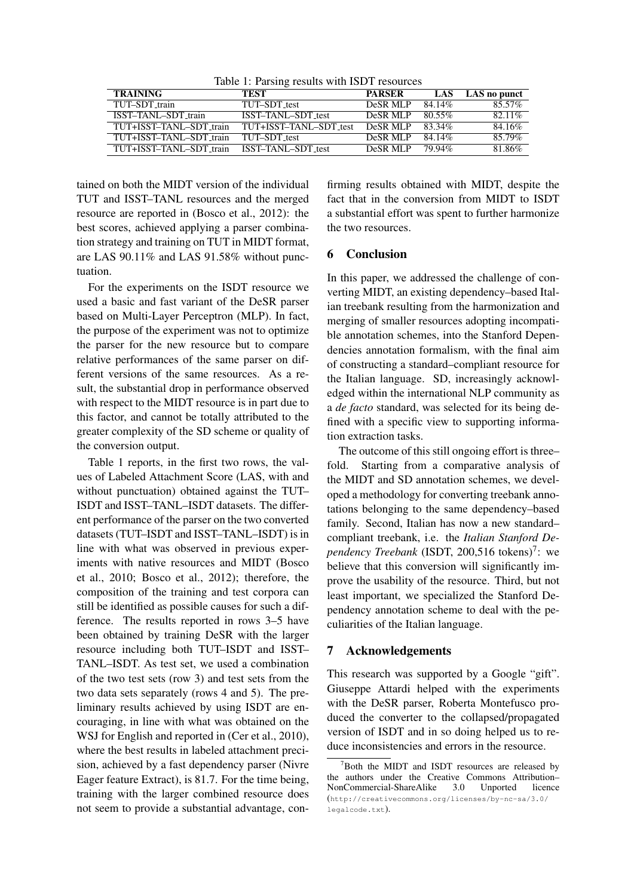Table 1: Parsing results with ISDT resources

| <b>TRAINING</b>         | TEST                   | <b>PARSER</b> | LAS    | LAS no punct |
|-------------------------|------------------------|---------------|--------|--------------|
| TUT-SDT train           | TUT-SDT test           | DeSR MLP      | 84.14% | 85.57%       |
| ISST-TANL-SDT_train     | ISST-TANL-SDT_test     | DeSR MLP      | 80.55% | $82.11\%$    |
| TUT+ISST-TANL-SDT_train | TUT+ISST-TANL-SDT_test | DeSR MLP      | 83.34% | 84.16%       |
| TUT+ISST-TANL-SDT train | TUT-SDT test           | DeSR MLP      | 84.14% | 85.79%       |
| TUT+ISST-TANL-SDT_train | ISST-TANL-SDT_test     | DeSR MLP      | 79 94% | 81.86%       |

tained on both the MIDT version of the individual TUT and ISST–TANL resources and the merged resource are reported in (Bosco et al., 2012): the best scores, achieved applying a parser combination strategy and training on TUT in MIDT format, are LAS 90.11% and LAS 91.58% without punctuation.

For the experiments on the ISDT resource we used a basic and fast variant of the DeSR parser based on Multi-Layer Perceptron (MLP). In fact, the purpose of the experiment was not to optimize the parser for the new resource but to compare relative performances of the same parser on different versions of the same resources. As a result, the substantial drop in performance observed with respect to the MIDT resource is in part due to this factor, and cannot be totally attributed to the greater complexity of the SD scheme or quality of the conversion output.

Table 1 reports, in the first two rows, the values of Labeled Attachment Score (LAS, with and without punctuation) obtained against the TUT– ISDT and ISST–TANL–ISDT datasets. The different performance of the parser on the two converted datasets (TUT–ISDT and ISST–TANL–ISDT) is in line with what was observed in previous experiments with native resources and MIDT (Bosco et al., 2010; Bosco et al., 2012); therefore, the composition of the training and test corpora can still be identified as possible causes for such a difference. The results reported in rows 3–5 have been obtained by training DeSR with the larger resource including both TUT–ISDT and ISST– TANL–ISDT. As test set, we used a combination of the two test sets (row 3) and test sets from the two data sets separately (rows 4 and 5). The preliminary results achieved by using ISDT are encouraging, in line with what was obtained on the WSJ for English and reported in (Cer et al., 2010), where the best results in labeled attachment precision, achieved by a fast dependency parser (Nivre Eager feature Extract), is 81.7. For the time being, training with the larger combined resource does not seem to provide a substantial advantage, con-

firming results obtained with MIDT, despite the fact that in the conversion from MIDT to ISDT a substantial effort was spent to further harmonize the two resources.

## 6 Conclusion

In this paper, we addressed the challenge of converting MIDT, an existing dependency–based Italian treebank resulting from the harmonization and merging of smaller resources adopting incompatible annotation schemes, into the Stanford Dependencies annotation formalism, with the final aim of constructing a standard–compliant resource for the Italian language. SD, increasingly acknowledged within the international NLP community as a *de facto* standard, was selected for its being defined with a specific view to supporting information extraction tasks.

The outcome of this still ongoing effort is three– fold. Starting from a comparative analysis of the MIDT and SD annotation schemes, we developed a methodology for converting treebank annotations belonging to the same dependency–based family. Second, Italian has now a new standard– compliant treebank, i.e. the *Italian Stanford De*pendency Treebank (ISDT, 200,516 tokens)<sup>7</sup>: we believe that this conversion will significantly improve the usability of the resource. Third, but not least important, we specialized the Stanford Dependency annotation scheme to deal with the peculiarities of the Italian language.

## 7 Acknowledgements

This research was supported by a Google "gift". Giuseppe Attardi helped with the experiments with the DeSR parser, Roberta Montefusco produced the converter to the collapsed/propagated version of ISDT and in so doing helped us to reduce inconsistencies and errors in the resource.

<sup>&</sup>lt;sup>7</sup>Both the MIDT and ISDT resources are released by the authors under the Creative Commons Attribution– NonCommercial-ShareAlike 3.0 Unported licence (http://creativecommons.org/licenses/by-nc-sa/3.0/ legalcode.txt).